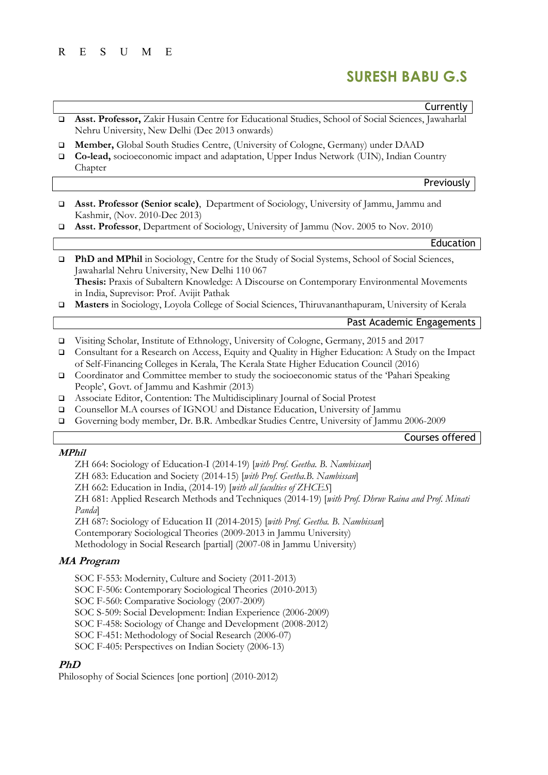## R E S U M E

# SURESH BABU G.S

Courses offered

|                       | Currently                                                                                                                                                                                                                                                                                   |
|-----------------------|---------------------------------------------------------------------------------------------------------------------------------------------------------------------------------------------------------------------------------------------------------------------------------------------|
| $\Box$                | Asst. Professor, Zakir Husain Centre for Educational Studies, School of Social Sciences, Jawaharlal<br>Nehru University, New Delhi (Dec 2013 onwards)                                                                                                                                       |
| $\Box$<br>$\Box$      | Member, Global South Studies Centre, (University of Cologne, Germany) under DAAD<br>Co-lead, socioeconomic impact and adaptation, Upper Indus Network (UIN), Indian Country<br>Chapter                                                                                                      |
|                       | Previously                                                                                                                                                                                                                                                                                  |
| ▫                     | Asst. Professor (Senior scale), Department of Sociology, University of Jammu, Jammu and<br>Kashmir, (Nov. 2010-Dec 2013)                                                                                                                                                                    |
| $\Box$                | Asst. Professor, Department of Sociology, University of Jammu (Nov. 2005 to Nov. 2010)                                                                                                                                                                                                      |
|                       | Education                                                                                                                                                                                                                                                                                   |
| $\Box$                | PhD and MPhil in Sociology, Centre for the Study of Social Systems, School of Social Sciences,<br>Jawaharlal Nehru University, New Delhi 110 067<br>Thesis: Praxis of Subaltern Knowledge: A Discourse on Contemporary Environmental Movements<br>in India, Suprevisor: Prof. Avijit Pathak |
| $\Box$                | Masters in Sociology, Loyola College of Social Sciences, Thiruvananthapuram, University of Kerala                                                                                                                                                                                           |
|                       | Past Academic Engagements                                                                                                                                                                                                                                                                   |
| $\Box$<br>$\Box$      | Visiting Scholar, Institute of Ethnology, University of Cologne, Germany, 2015 and 2017<br>Consultant for a Research on Access, Equity and Quality in Higher Education: A Study on the Impact<br>of Self-Financing Colleges in Kerala, The Kerala State Higher Education Council (2016)     |
| $\Box$                | Coordinator and Committee member to study the socioeconomic status of the 'Pahari Speaking<br>People', Govt. of Jammu and Kashmir (2013)                                                                                                                                                    |
| $\Box$<br>□<br>$\Box$ | Associate Editor, Contention: The Multidisciplinary Journal of Social Protest<br>Counsellor M.A courses of IGNOU and Distance Education, University of Jammu<br>Governing body member, Dr. B.R. Ambedkar Studies Centre, University of Jammu 2006-2009                                      |

## MPhil

ZH 664: Sociology of Education-I (2014-19) [with Prof. Geetha. B. Nambissan]

ZH 683: Education and Society (2014-15) [with Prof. Geetha.B. Nambissan]

ZH 662: Education in India, (2014-19) [with all faculties of ZHCES]

ZH 681: Applied Research Methods and Techniques (2014-19) [with Prof. Dhruv Raina and Prof. Minati Panda]

ZH 687: Sociology of Education II (2014-2015) [with Prof. Geetha. B. Nambissan]

Contemporary Sociological Theories (2009-2013 in Jammu University)

Methodology in Social Research [partial] (2007-08 in Jammu University)

## MA Program

SOC F-553: Modernity, Culture and Society (2011-2013) SOC F-506: Contemporary Sociological Theories (2010-2013) SOC F-560: Comparative Sociology (2007-2009) SOC S-509: Social Development: Indian Experience (2006-2009) SOC F-458: Sociology of Change and Development (2008-2012) SOC F-451: Methodology of Social Research (2006-07) SOC F-405: Perspectives on Indian Society (2006-13)

# PhD

Philosophy of Social Sciences [one portion] (2010-2012)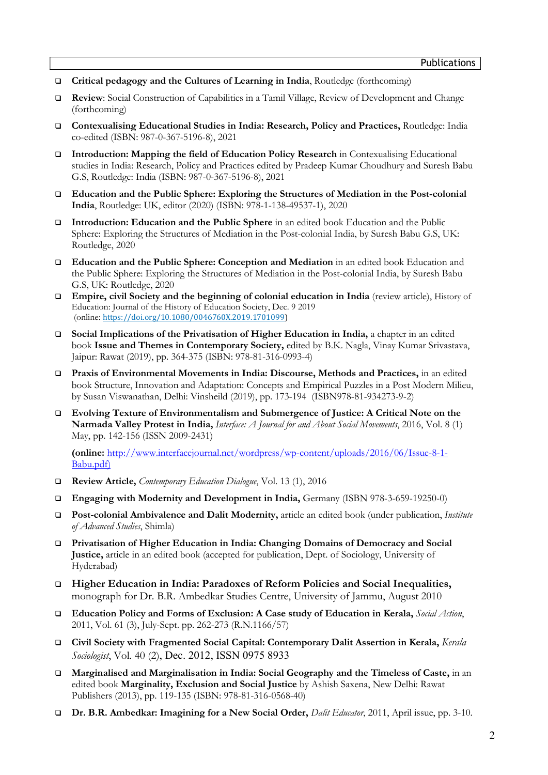- Critical pedagogy and the Cultures of Learning in India, Routledge (forthcoming)
- Review: Social Construction of Capabilities in a Tamil Village, Review of Development and Change (forthcoming)
- Contexualising Educational Studies in India: Research, Policy and Practices, Routledge: India co-edited (ISBN: 987-0-367-5196-8), 2021
- Introduction: Mapping the field of Education Policy Research in Contexualising Educational studies in India: Research, Policy and Practices edited by Pradeep Kumar Choudhury and Suresh Babu G.S, Routledge: India (ISBN: 987-0-367-5196-8), 2021
- Education and the Public Sphere: Exploring the Structures of Mediation in the Post-colonial India, Routledge: UK, editor (2020) (ISBN: 978-1-138-49537-1), 2020
- Introduction: Education and the Public Sphere in an edited book Education and the Public Sphere: Exploring the Structures of Mediation in the Post-colonial India, by Suresh Babu G.S, UK: Routledge, 2020
- Education and the Public Sphere: Conception and Mediation in an edited book Education and the Public Sphere: Exploring the Structures of Mediation in the Post-colonial India, by Suresh Babu G.S, UK: Routledge, 2020
- Empire, civil Society and the beginning of colonial education in India (review article), History of Education: Journal of the History of Education Society, Dec. 9 2019 (online: https://doi.org/10.1080/0046760X.2019.1701099)
- Social Implications of the Privatisation of Higher Education in India, a chapter in an edited book Issue and Themes in Contemporary Society, edited by B.K. Nagla, Vinay Kumar Srivastava, Jaipur: Rawat (2019), pp. 364-375 (ISBN: 978-81-316-0993-4)
- Praxis of Environmental Movements in India: Discourse, Methods and Practices, in an edited book Structure, Innovation and Adaptation: Concepts and Empirical Puzzles in a Post Modern Milieu, by Susan Viswanathan, Delhi: Vinsheild (2019), pp. 173-194 (ISBN978-81-934273-9-2)
- Evolving Texture of Environmentalism and Submergence of Justice: A Critical Note on the Narmada Valley Protest in India, Interface: A Journal for and About Social Movements, 2016, Vol. 8 (1) May, pp. 142-156 (ISSN 2009-2431)

(online: http://www.interfacejournal.net/wordpress/wp-content/uploads/2016/06/Issue-8-1- Babu.pdf)

- □ Review Article, Contemporary Education Dialogue, Vol. 13 (1), 2016
- Engaging with Modernity and Development in India, Germany (ISBN 978-3-659-19250-0)
- □ Post-colonial Ambivalence and Dalit Modernity, article an edited book (under publication, *Institute* of Advanced Studies, Shimla)
- Privatisation of Higher Education in India: Changing Domains of Democracy and Social Justice, article in an edited book (accepted for publication, Dept. of Sociology, University of Hyderabad)
- Higher Education in India: Paradoxes of Reform Policies and Social Inequalities, monograph for Dr. B.R. Ambedkar Studies Centre, University of Jammu, August 2010
- **Education Policy and Forms of Exclusion: A Case study of Education in Kerala,** Social Action, 2011, Vol. 61 (3), July-Sept. pp. 262-273 (R.N.1166/57)
- Civil Society with Fragmented Social Capital: Contemporary Dalit Assertion in Kerala, Kerala Sociologist, Vol. 40 (2), Dec. 2012, ISSN 0975 8933
- Marginalised and Marginalisation in India: Social Geography and the Timeless of Caste, in an edited book Marginality, Exclusion and Social Justice by Ashish Saxena, New Delhi: Rawat Publishers (2013), pp. 119-135 (ISBN: 978-81-316-0568-40)
- Dr. B.R. Ambedkar: Imagining for a New Social Order, *Dalit Educator*, 2011, April issue, pp. 3-10.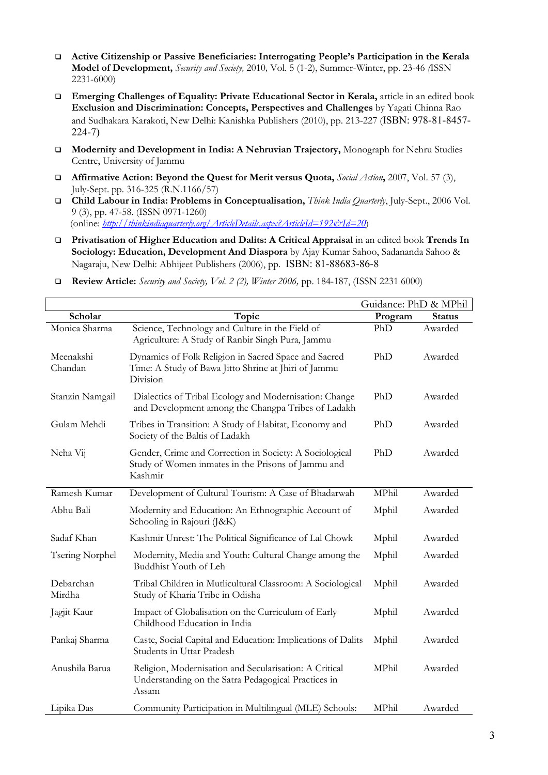- Active Citizenship or Passive Beneficiaries: Interrogating People's Participation in the Kerala Model of Development, Security and Society, 2010, Vol. 5 (1-2), Summer-Winter, pp. 23-46 (ISSN 2231-6000)
- Emerging Challenges of Equality: Private Educational Sector in Kerala, article in an edited book Exclusion and Discrimination: Concepts, Perspectives and Challenges by Yagati Chinna Rao and Sudhakara Karakoti, New Delhi: Kanishka Publishers (2010), pp. 213-227 (ISBN: 978-81-8457- 224-7)
- Modernity and Development in India: A Nehruvian Trajectory, Monograph for Nehru Studies Centre, University of Jammu
- **Affirmative Action: Beyond the Quest for Merit versus Quota,** Social Action, 2007, Vol. 57 (3), July-Sept. pp. 316-325 (R.N.1166/57)
- □ Child Labour in India: Problems in Conceptualisation, *Think India Quarterly*, July-Sept., 2006 Vol. 9 (3), pp. 47-58. (ISSN 0971-1260) (online: http://thinkindiaquarterly.org/ArticleDetails.aspx?ArticleId=192&Id=20)
- Privatisation of Higher Education and Dalits: A Critical Appraisal in an edited book Trends In Sociology: Education, Development And Diaspora by Ajay Kumar Sahoo, Sadananda Sahoo & Nagaraju, New Delhi: Abhijeet Publishers (2006), pp. ISBN: 81-88683-86-8

|                        |                                                                                                                          | Guidance: PhD & MPhil |               |
|------------------------|--------------------------------------------------------------------------------------------------------------------------|-----------------------|---------------|
| Scholar                | Topic                                                                                                                    | Program               | <b>Status</b> |
| Monica Sharma          | Science, Technology and Culture in the Field of<br>Agriculture: A Study of Ranbir Singh Pura, Jammu                      | PhD                   | Awarded       |
| Meenakshi<br>Chandan   | Dynamics of Folk Religion in Sacred Space and Sacred<br>Time: A Study of Bawa Jitto Shrine at Jhiri of Jammu<br>Division | PhD                   | Awarded       |
| Stanzin Namgail        | Dialectics of Tribal Ecology and Modernisation: Change<br>and Development among the Changpa Tribes of Ladakh             | PhD                   | Awarded       |
| Gulam Mehdi            | Tribes in Transition: A Study of Habitat, Economy and<br>Society of the Baltis of Ladakh                                 | PhD                   | Awarded       |
| Neha Vij               | Gender, Crime and Correction in Society: A Sociological<br>Study of Women inmates in the Prisons of Jammu and<br>Kashmir | PhD                   | Awarded       |
| Ramesh Kumar           | Development of Cultural Tourism: A Case of Bhadarwah                                                                     | MPhil                 | Awarded       |
| Abhu Bali              | Modernity and Education: An Ethnographic Account of<br>Schooling in Rajouri (J&K)                                        | Mphil                 | Awarded       |
| Sadaf Khan             | Kashmir Unrest: The Political Significance of Lal Chowk                                                                  | Mphil                 | Awarded       |
| <b>Tsering Norphel</b> | Modernity, Media and Youth: Cultural Change among the<br>Buddhist Youth of Leh                                           | Mphil                 | Awarded       |
| Debarchan<br>Mirdha    | Tribal Children in Mutlicultural Classroom: A Sociological<br>Study of Kharia Tribe in Odisha                            | Mphil                 | Awarded       |
| Jagjit Kaur            | Impact of Globalisation on the Curriculum of Early<br>Childhood Education in India                                       | Mphil                 | Awarded       |
| Pankaj Sharma          | Caste, Social Capital and Education: Implications of Dalits<br>Students in Uttar Pradesh                                 | Mphil                 | Awarded       |
| Anushila Barua         | Religion, Modernisation and Secularisation: A Critical<br>Understanding on the Satra Pedagogical Practices in<br>Assam   | MPhil                 | Awarded       |
| Lipika Das             | Community Participation in Multilingual (MLE) Schools:                                                                   | MPhil                 | Awarded       |

**Review Article:** Security and Society, Vol. 2 (2), Winter 2006, pp. 184-187, (ISSN 2231 6000)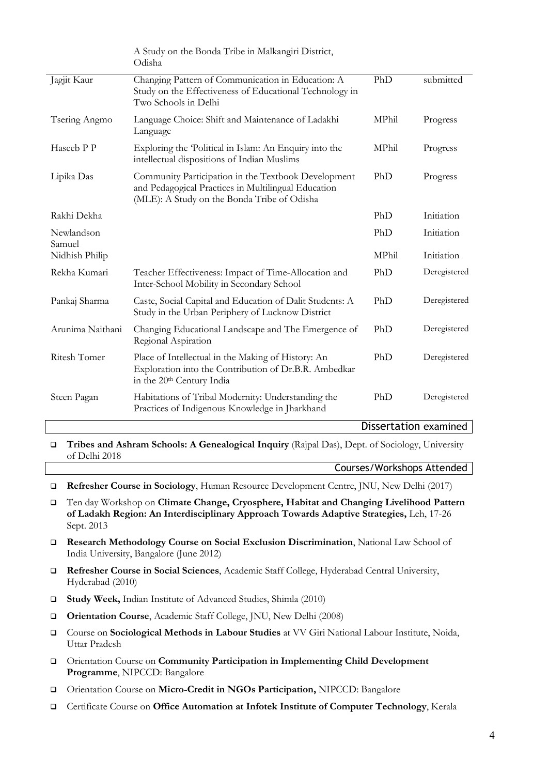|                      | A Study on the Bonda Tribe in Malkangiri District,<br>Odisha                                                                                              |              |                          |
|----------------------|-----------------------------------------------------------------------------------------------------------------------------------------------------------|--------------|--------------------------|
| Jagjit Kaur          | Changing Pattern of Communication in Education: A<br>Study on the Effectiveness of Educational Technology in<br>Two Schools in Delhi                      | PhD          | submitted                |
| Tsering Angmo        | Language Choice: Shift and Maintenance of Ladakhi<br>Language                                                                                             | MPhil        | Progress                 |
| Haseeb P P           | Exploring the 'Political in Islam: An Enquiry into the<br>intellectual dispositions of Indian Muslims                                                     | MPhil        | Progress                 |
| Lipika Das           | Community Participation in the Textbook Development<br>and Pedagogical Practices in Multilingual Education<br>(MLE): A Study on the Bonda Tribe of Odisha | PhD          | Progress                 |
| Rakhi Dekha          |                                                                                                                                                           | PhD          | Initiation               |
| Newlandson<br>Samuel |                                                                                                                                                           | PhD<br>MPhil | Initiation<br>Initiation |
| Nidhish Philip       |                                                                                                                                                           |              |                          |
| Rekha Kumari         | Teacher Effectiveness: Impact of Time-Allocation and<br>Inter-School Mobility in Secondary School                                                         | PhD          | Deregistered             |
| Pankaj Sharma        | Caste, Social Capital and Education of Dalit Students: A<br>Study in the Urban Periphery of Lucknow District                                              | PhD          | Deregistered             |
| Arunima Naithani     | Changing Educational Landscape and The Emergence of<br>Regional Aspiration                                                                                | PhD          | Deregistered             |
| Ritesh Tomer         | Place of Intellectual in the Making of History: An<br>Exploration into the Contribution of Dr.B.R. Ambedkar<br>in the 20th Century India                  | PhD          | Deregistered             |
| Steen Pagan          | Habitations of Tribal Modernity: Understanding the<br>Practices of Indigenous Knowledge in Jharkhand                                                      | PhD          | Deregistered             |

Dissertation examined

□ Tribes and Ashram Schools: A Genealogical Inquiry (Rajpal Das), Dept. of Sociology, University of Delhi 2018

Courses/Workshops Attended

- Refresher Course in Sociology, Human Resource Development Centre, JNU, New Delhi (2017)
- Ten day Workshop on Climate Change, Cryosphere, Habitat and Changing Livelihood Pattern of Ladakh Region: An Interdisciplinary Approach Towards Adaptive Strategies, Leh, 17-26 Sept. 2013
- Research Methodology Course on Social Exclusion Discrimination, National Law School of India University, Bangalore (June 2012)
- Refresher Course in Social Sciences, Academic Staff College, Hyderabad Central University, Hyderabad (2010)
- Study Week, Indian Institute of Advanced Studies, Shimla (2010)
- Orientation Course, Academic Staff College, JNU, New Delhi (2008)
- Course on Sociological Methods in Labour Studies at VV Giri National Labour Institute, Noida, Uttar Pradesh
- Orientation Course on Community Participation in Implementing Child Development Programme, NIPCCD: Bangalore
- Orientation Course on Micro-Credit in NGOs Participation, NIPCCD: Bangalore
- Certificate Course on Office Automation at Infotek Institute of Computer Technology, Kerala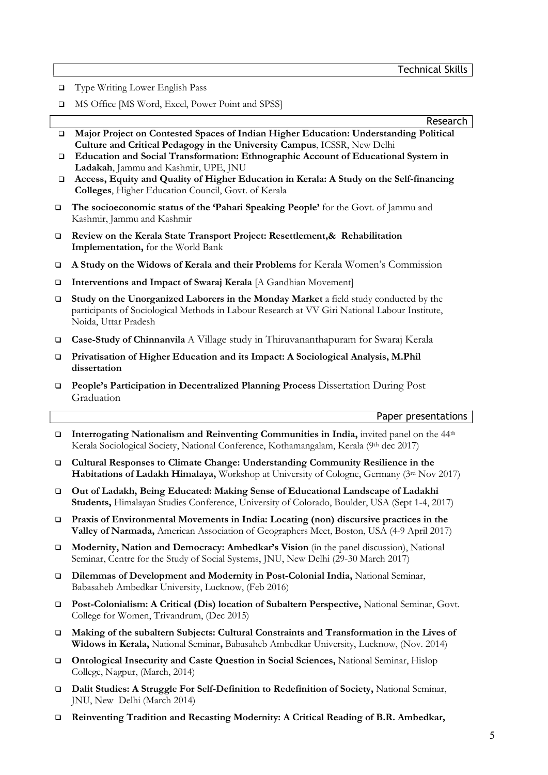□ Type Writing Lower English Pass

 $\overline{a}$ 

□ MS Office [MS Word, Excel, Power Point and SPSS]

Research

- Major Project on Contested Spaces of Indian Higher Education: Understanding Political Culture and Critical Pedagogy in the University Campus, ICSSR, New Delhi
- Education and Social Transformation: Ethnographic Account of Educational System in Ladakah, Jammu and Kashmir, UPE, JNU
- Access, Equity and Quality of Higher Education in Kerala: A Study on the Self-financing Colleges, Higher Education Council, Govt. of Kerala
- The socioeconomic status of the 'Pahari Speaking People' for the Govt. of Jammu and Kashmir, Jammu and Kashmir
- Review on the Kerala State Transport Project: Resettlement,& Rehabilitation Implementation, for the World Bank
- A Study on the Widows of Kerala and their Problems for Kerala Women's Commission
- □ Interventions and Impact of Swaraj Kerala [A Gandhian Movement]
- $\Box$  Study on the Unorganized Laborers in the Monday Market a field study conducted by the participants of Sociological Methods in Labour Research at VV Giri National Labour Institute, Noida, Uttar Pradesh
- Case-Study of Chinnanvila A Village study in Thiruvananthapuram for Swaraj Kerala
- Privatisation of Higher Education and its Impact: A Sociological Analysis, M.Phil dissertation
- People's Participation in Decentralized Planning Process Dissertation During Post Graduation

### Paper presentations

- Interrogating Nationalism and Reinventing Communities in India, invited panel on the  $44<sup>th</sup>$ Kerala Sociological Society, National Conference, Kothamangalam, Kerala (9th dec 2017)
- Cultural Responses to Climate Change: Understanding Community Resilience in the Habitations of Ladakh Himalaya, Workshop at University of Cologne, Germany (3rd Nov 2017)
- Out of Ladakh, Being Educated: Making Sense of Educational Landscape of Ladakhi Students, Himalayan Studies Conference, University of Colorado, Boulder, USA (Sept 1-4, 2017)
- Praxis of Environmental Movements in India: Locating (non) discursive practices in the Valley of Narmada, American Association of Geographers Meet, Boston, USA (4-9 April 2017)
- Modernity, Nation and Democracy: Ambedkar's Vision (in the panel discussion), National Seminar, Centre for the Study of Social Systems, JNU, New Delhi (29-30 March 2017)
- Dilemmas of Development and Modernity in Post-Colonial India, National Seminar, Babasaheb Ambedkar University, Lucknow, (Feb 2016)
- Post-Colonialism: A Critical (Dis) location of Subaltern Perspective, National Seminar, Govt. College for Women, Trivandrum, (Dec 2015)
- Making of the subaltern Subjects: Cultural Constraints and Transformation in the Lives of Widows in Kerala, National Seminar, Babasaheb Ambedkar University, Lucknow, (Nov. 2014)
- Ontological Insecurity and Caste Question in Social Sciences, National Seminar, Hislop College, Nagpur, (March, 2014)
- Dalit Studies: A Struggle For Self-Definition to Redefinition of Society, National Seminar, JNU, New Delhi (March 2014)
- Reinventing Tradition and Recasting Modernity: A Critical Reading of B.R. Ambedkar,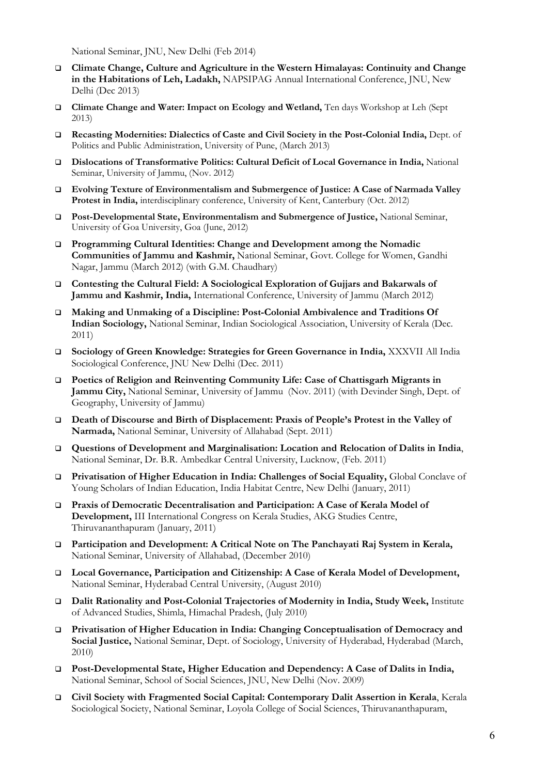National Seminar, JNU, New Delhi (Feb 2014)

- Climate Change, Culture and Agriculture in the Western Himalayas: Continuity and Change in the Habitations of Leh, Ladakh, NAPSIPAG Annual International Conference, JNU, New Delhi (Dec 2013)
- Climate Change and Water: Impact on Ecology and Wetland, Ten days Workshop at Leh (Sept 2013)
- Recasting Modernities: Dialectics of Caste and Civil Society in the Post-Colonial India, Dept. of Politics and Public Administration, University of Pune, (March 2013)
- Dislocations of Transformative Politics: Cultural Deficit of Local Governance in India, National Seminar, University of Jammu, (Nov. 2012)
- Evolving Texture of Environmentalism and Submergence of Justice: A Case of Narmada Valley Protest in India, interdisciplinary conference, University of Kent, Canterbury (Oct. 2012)
- Post-Developmental State, Environmentalism and Submergence of Justice, National Seminar, University of Goa University, Goa (June, 2012)
- Programming Cultural Identities: Change and Development among the Nomadic Communities of Jammu and Kashmir, National Seminar, Govt. College for Women, Gandhi Nagar, Jammu (March 2012) (with G.M. Chaudhary)
- Contesting the Cultural Field: A Sociological Exploration of Gujjars and Bakarwals of Jammu and Kashmir, India, International Conference, University of Jammu (March 2012)
- Making and Unmaking of a Discipline: Post-Colonial Ambivalence and Traditions Of Indian Sociology, National Seminar, Indian Sociological Association, University of Kerala (Dec. 2011)
- Sociology of Green Knowledge: Strategies for Green Governance in India, XXXVII All India Sociological Conference, JNU New Delhi (Dec. 2011)
- Poetics of Religion and Reinventing Community Life: Case of Chattisgarh Migrants in Jammu City, National Seminar, University of Jammu (Nov. 2011) (with Devinder Singh, Dept. of Geography, University of Jammu)
- Death of Discourse and Birth of Displacement: Praxis of People's Protest in the Valley of Narmada, National Seminar, University of Allahabad (Sept. 2011)
- Questions of Development and Marginalisation: Location and Relocation of Dalits in India, National Seminar, Dr. B.R. Ambedkar Central University, Lucknow, (Feb. 2011)
- Privatisation of Higher Education in India: Challenges of Social Equality, Global Conclave of Young Scholars of Indian Education, India Habitat Centre, New Delhi (January, 2011)
- Praxis of Democratic Decentralisation and Participation: A Case of Kerala Model of Development, III International Congress on Kerala Studies, AKG Studies Centre, Thiruvananthapuram (January, 2011)
- Participation and Development: A Critical Note on The Panchayati Raj System in Kerala, National Seminar, University of Allahabad, (December 2010)
- Local Governance, Participation and Citizenship: A Case of Kerala Model of Development, National Seminar, Hyderabad Central University, (August 2010)
- Dalit Rationality and Post-Colonial Trajectories of Modernity in India, Study Week, Institute of Advanced Studies, Shimla, Himachal Pradesh, (July 2010)
- Privatisation of Higher Education in India: Changing Conceptualisation of Democracy and Social Justice, National Seminar, Dept. of Sociology, University of Hyderabad, Hyderabad (March, 2010)
- Post-Developmental State, Higher Education and Dependency: A Case of Dalits in India, National Seminar, School of Social Sciences, JNU, New Delhi (Nov. 2009)
- Civil Society with Fragmented Social Capital: Contemporary Dalit Assertion in Kerala, Kerala Sociological Society, National Seminar, Loyola College of Social Sciences, Thiruvananthapuram,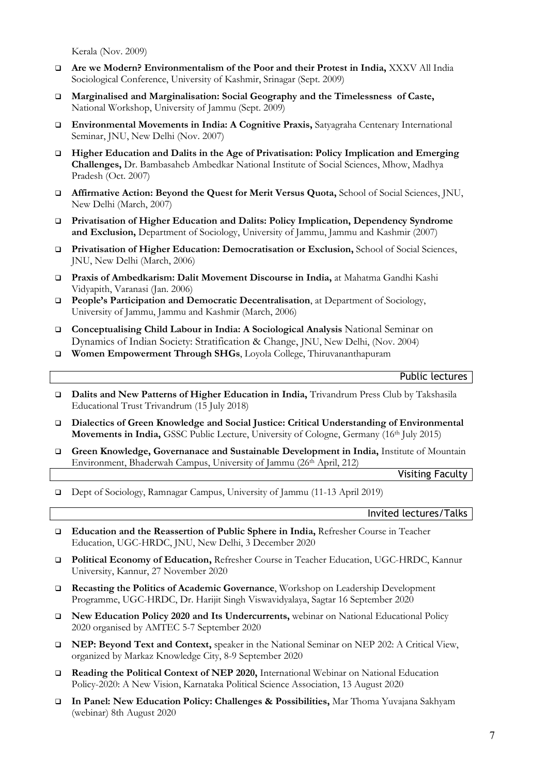Kerala (Nov. 2009)

- Are we Modern? Environmentalism of the Poor and their Protest in India, XXXV All India Sociological Conference, University of Kashmir, Srinagar (Sept. 2009)
- Marginalised and Marginalisation: Social Geography and the Timelessness of Caste, National Workshop, University of Jammu (Sept. 2009)
- Environmental Movements in India: A Cognitive Praxis, Satyagraha Centenary International Seminar, JNU, New Delhi (Nov. 2007)
- Higher Education and Dalits in the Age of Privatisation: Policy Implication and Emerging Challenges, Dr. Bambasaheb Ambedkar National Institute of Social Sciences, Mhow, Madhya Pradesh (Oct. 2007)
- Affirmative Action: Beyond the Quest for Merit Versus Quota, School of Social Sciences, JNU, New Delhi (March, 2007)
- Privatisation of Higher Education and Dalits: Policy Implication, Dependency Syndrome and Exclusion, Department of Sociology, University of Jammu, Jammu and Kashmir (2007)
- Privatisation of Higher Education: Democratisation or Exclusion, School of Social Sciences, JNU, New Delhi (March, 2006)
- Praxis of Ambedkarism: Dalit Movement Discourse in India, at Mahatma Gandhi Kashi Vidyapith, Varanasi (Jan. 2006)
- **People's Participation and Democratic Decentralisation**, at Department of Sociology, University of Jammu, Jammu and Kashmir (March, 2006)
- Conceptualising Child Labour in India: A Sociological Analysis National Seminar on Dynamics of Indian Society: Stratification & Change, JNU, New Delhi, (Nov. 2004)
- Women Empowerment Through SHGs, Loyola College, Thiruvananthapuram

Public lectures

- Dalits and New Patterns of Higher Education in India, Trivandrum Press Club by Takshasila Educational Trust Trivandrum (15 July 2018)
- Dialectics of Green Knowledge and Social Justice: Critical Understanding of Environmental Movements in India, GSSC Public Lecture, University of Cologne, Germany (16th July 2015)
- Green Knowledge, Governanace and Sustainable Development in India, Institute of Mountain Environment, Bhaderwah Campus, University of Jammu (26<sup>th</sup> April, 212)

Visiting Faculty

Dept of Sociology, Ramnagar Campus, University of Jammu (11-13 April 2019)

Invited lectures/Talks

- Education and the Reassertion of Public Sphere in India, Refresher Course in Teacher Education, UGC-HRDC, JNU, New Delhi, 3 December 2020
- Political Economy of Education, Refresher Course in Teacher Education, UGC-HRDC, Kannur University, Kannur, 27 November 2020
- Recasting the Politics of Academic Governance, Workshop on Leadership Development Programme, UGC-HRDC, Dr. Harijit Singh Viswavidyalaya, Sagtar 16 September 2020
- New Education Policy 2020 and Its Undercurrents, webinar on National Educational Policy 2020 organised by AMTEC 5-7 September 2020
- NEP: Beyond Text and Context, speaker in the National Seminar on NEP 202: A Critical View, organized by Markaz Knowledge City, 8-9 September 2020
- Reading the Political Context of NEP 2020, International Webinar on National Education Policy-2020: A New Vision, Karnataka Political Science Association, 13 August 2020
- In Panel: New Education Policy: Challenges & Possibilities, Mar Thoma Yuvajana Sakhyam (webinar) 8th August 2020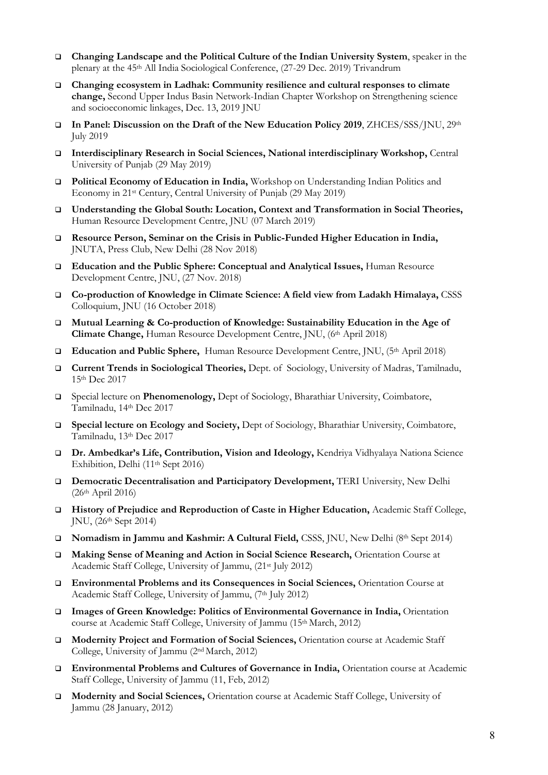- Changing Landscape and the Political Culture of the Indian University System, speaker in the plenary at the 45th All India Sociological Conference, (27-29 Dec. 2019) Trivandrum
- Changing ecosystem in Ladhak: Community resilience and cultural responses to climate change, Second Upper Indus Basin Network-Indian Chapter Workshop on Strengthening science and socioeconomic linkages, Dec. 13, 2019 JNU
- In Panel: Discussion on the Draft of the New Education Policy 2019, ZHCES/SSS/JNU, 29th July 2019
- Interdisciplinary Research in Social Sciences, National interdisciplinary Workshop, Central University of Punjab (29 May 2019)
- Political Economy of Education in India, Workshop on Understanding Indian Politics and Economy in 21st Century, Central University of Punjab (29 May 2019)
- Understanding the Global South: Location, Context and Transformation in Social Theories, Human Resource Development Centre, JNU (07 March 2019)
- Resource Person, Seminar on the Crisis in Public-Funded Higher Education in India, JNUTA, Press Club, New Delhi (28 Nov 2018)
- Education and the Public Sphere: Conceptual and Analytical Issues, Human Resource Development Centre, JNU, (27 Nov. 2018)
- Co-production of Knowledge in Climate Science: A field view from Ladakh Himalaya, CSSS Colloquium, JNU (16 October 2018)
- Mutual Learning & Co-production of Knowledge: Sustainability Education in the Age of Climate Change, Human Resource Development Centre, JNU, (6th April 2018)
- **Education and Public Sphere,** Human Resource Development Centre, JNU,  $(5<sup>th</sup>$  April 2018)
- Current Trends in Sociological Theories, Dept. of Sociology, University of Madras, Tamilnadu, 15th Dec 2017
- Special lecture on Phenomenology, Dept of Sociology, Bharathiar University, Coimbatore, Tamilnadu, 14th Dec 2017
- Special lecture on Ecology and Society, Dept of Sociology, Bharathiar University, Coimbatore, Tamilnadu, 13th Dec 2017
- Dr. Ambedkar's Life, Contribution, Vision and Ideology, Kendriya Vidhyalaya Nationa Science Exhibition, Delhi (11<sup>th</sup> Sept 2016)
- Democratic Decentralisation and Participatory Development, TERI University, New Delhi  $(26<sup>th</sup> April 2016)$
- History of Prejudice and Reproduction of Caste in Higher Education, Academic Staff College, JNU, (26th Sept 2014)
- □ Nomadism in Jammu and Kashmir: A Cultural Field, CSSS, JNU, New Delhi (8th Sept 2014)
- Making Sense of Meaning and Action in Social Science Research, Orientation Course at Academic Staff College, University of Jammu, (21st July 2012)
- Environmental Problems and its Consequences in Social Sciences, Orientation Course at Academic Staff College, University of Jammu, (7th July 2012)
- Images of Green Knowledge: Politics of Environmental Governance in India, Orientation course at Academic Staff College, University of Jammu (15<sup>th</sup> March, 2012)
- Modernity Project and Formation of Social Sciences, Orientation course at Academic Staff College, University of Jammu (2nd March, 2012)
- Environmental Problems and Cultures of Governance in India, Orientation course at Academic Staff College, University of Jammu (11, Feb, 2012)
- Modernity and Social Sciences, Orientation course at Academic Staff College, University of Jammu (28 January, 2012)